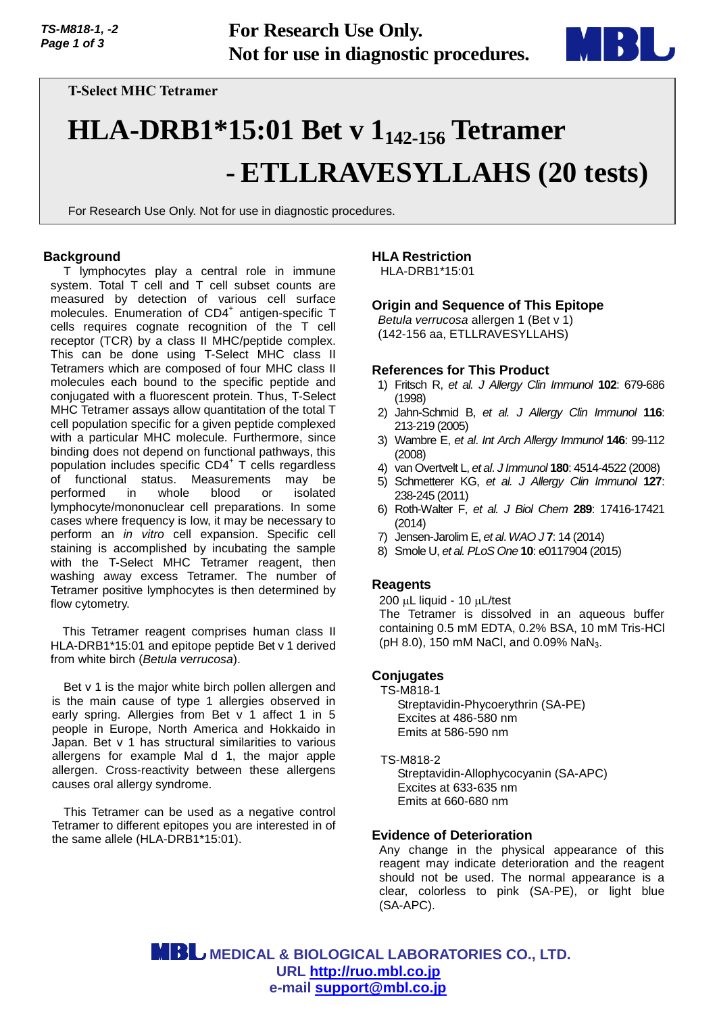

**T-Select MHC Tetramer**

# **HLA-DRB1\*15:01 Bet v 1142-156 Tetramer - ETLLRAVESYLLAHS (20 tests)**

For Research Use Only. Not for use in diagnostic procedures.

## **Background**

T lymphocytes play a central role in immune system. Total T cell and T cell subset counts are measured by detection of various cell surface molecules. Enumeration of CD4<sup>+</sup> antigen-specific T cells requires cognate recognition of the T cell receptor (TCR) by a class II MHC/peptide complex. This can be done using T-Select MHC class II Tetramers which are composed of four MHC class II molecules each bound to the specific peptide and conjugated with a fluorescent protein. Thus, T-Select MHC Tetramer assays allow quantitation of the total T cell population specific for a given peptide complexed with a particular MHC molecule. Furthermore, since binding does not depend on functional pathways, this population includes specific CD4<sup>+</sup> T cells regardless of functional status. Measurements may be performed in whole blood or isolated lymphocyte/mononuclear cell preparations. In some cases where frequency is low, it may be necessary to perform an *in vitro* cell expansion. Specific cell staining is accomplished by incubating the sample with the T-Select MHC Tetramer reagent, then washing away excess Tetramer. The number of Tetramer positive lymphocytes is then determined by flow cytometry.

This Tetramer reagent comprises human class II HLA-DRB1\*15:01 and epitope peptide Bet v 1 derived from white birch (*Betula verrucosa*).

Bet v 1 is the major white birch pollen allergen and is the main cause of type 1 allergies observed in early spring. Allergies from Bet v 1 affect 1 in 5 people in Europe, North America and Hokkaido in Japan. Bet v 1 has structural similarities to various allergens for example Mal d 1, the major apple allergen. Cross-reactivity between these allergens causes oral allergy syndrome.

This Tetramer can be used as a negative control Tetramer to different epitopes you are interested in of the same allele (HLA-DRB1\*15:01).

# **HLA Restriction**

HLA-DRB1\*15:01

# **Origin and Sequence of This Epitope**

*Betula verrucosa* allergen 1 (Bet v 1) (142-156 aa, ETLLRAVESYLLAHS)

#### **References for This Product**

- 1) Fritsch R, *et al. J Allergy Clin Immunol* **102**: 679-686 (1998)
- 2) Jahn-Schmid B, *et al. J Allergy Clin Immunol* **116**: 213-219 (2005)
- 3) Wambre E, *et al*. *Int Arch Allergy Immunol* **146**: 99-112 (2008)
- 4) van Overtvelt L, *et al*. *J Immunol* **180**: 4514-4522 (2008)
- 5) Schmetterer KG, *et al. J Allergy Clin Immunol* **127**: 238-245 (2011)
- 6) Roth-Walter F, *et al. J Biol Chem* **289**: 17416-17421 (2014)
- 7) Jensen-Jarolim E, *et al*. *WAO J* **7**: 14 (2014)
- 8) Smole U, *et al. PLoS One* **10**: e0117904 (2015)

## **Reagents**

 $200 \mu L$  liquid - 10  $\mu L$ /test The Tetramer is dissolved in an aqueous buffer containing 0.5 mM EDTA, 0.2% BSA, 10 mM Tris-HCl (pH 8.0), 150 mM NaCl, and 0.09% NaN<sub>3</sub>.

## **Conjugates**

TS-M818-1 Streptavidin-Phycoerythrin (SA-PE) Excites at 486-580 nm Emits at 586-590 nm

#### TS-M818-2

Streptavidin-Allophycocyanin (SA-APC) Excites at 633-635 nm Emits at 660-680 nm

## **Evidence of Deterioration**

Any change in the physical appearance of this reagent may indicate deterioration and the reagent should not be used. The normal appearance is a clear, colorless to pink (SA-PE), or light blue (SA-APC).

 **MEDICAL & BIOLOGICAL LABORATORIES CO., LTD. URL [http://ruo.mbl.co.jp](https://ruo.mbl.co.jp/) e-mail [support@mbl.co.jp](mailto:support@mbl.co.jp)**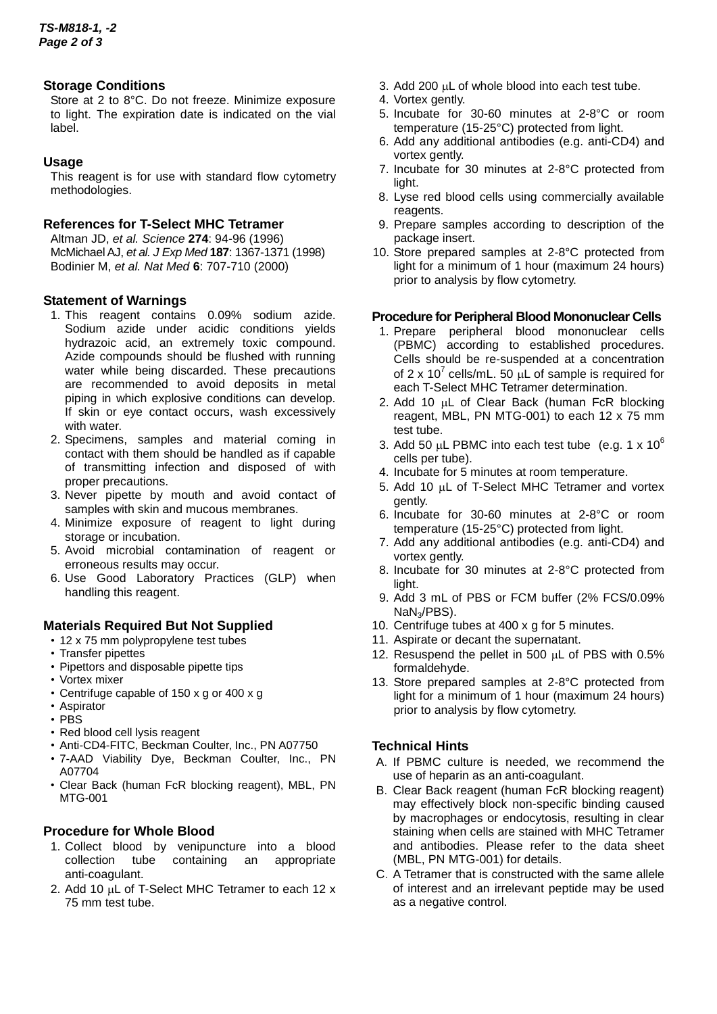# **Storage Conditions**

Store at 2 to 8°C. Do not freeze. Minimize exposure to light. The expiration date is indicated on the vial label.

# **Usage**

This reagent is for use with standard flow cytometry methodologies.

## **References for T-Select MHC Tetramer**

Altman JD, *et al. Science* **274**: 94-96 (1996) McMichael AJ, *et al. J Exp Med* **187**: 1367-1371 (1998) Bodinier M, *et al. Nat Med* **6**: 707-710 (2000)

# **Statement of Warnings**

- 1. This reagent contains 0.09% sodium azide. Sodium azide under acidic conditions yields hydrazoic acid, an extremely toxic compound. Azide compounds should be flushed with running water while being discarded. These precautions are recommended to avoid deposits in metal piping in which explosive conditions can develop. If skin or eye contact occurs, wash excessively with water.
- 2. Specimens, samples and material coming in contact with them should be handled as if capable of transmitting infection and disposed of with proper precautions.
- 3. Never pipette by mouth and avoid contact of samples with skin and mucous membranes.
- 4. Minimize exposure of reagent to light during storage or incubation.
- 5. Avoid microbial contamination of reagent or erroneous results may occur.
- 6. Use Good Laboratory Practices (GLP) when handling this reagent.

# **Materials Required But Not Supplied**

- 12 x 75 mm polypropylene test tubes
- Transfer pipettes
- Pipettors and disposable pipette tips
- Vortex mixer
- Centrifuge capable of 150 x g or 400 x g
- Aspirator
- PBS
- Red blood cell lysis reagent
- Anti-CD4-FITC, Beckman Coulter, Inc., PN A07750
- 7-AAD Viability Dye, Beckman Coulter, Inc., PN A07704
- Clear Back (human FcR blocking reagent), MBL, PN MTG-001

# **Procedure for Whole Blood**

- 1. Collect blood by venipuncture into a blood collection tube containing an appropriate anti-coagulant.
- 2. Add 10  $\mu$ L of T-Select MHC Tetramer to each 12 x 75 mm test tube.
- 3. Add 200  $\mu$ L of whole blood into each test tube.
- 4. Vortex gently.
- 5. Incubate for 30-60 minutes at 2-8°C or room temperature (15-25°C) protected from light.
- 6. Add any additional antibodies (e.g. anti-CD4) and vortex gently.
- 7. Incubate for 30 minutes at 2-8°C protected from light.
- 8. Lyse red blood cells using commercially available reagents.
- 9. Prepare samples according to description of the package insert.
- 10. Store prepared samples at 2-8°C protected from light for a minimum of 1 hour (maximum 24 hours) prior to analysis by flow cytometry.

# **Procedure for Peripheral Blood Mononuclear Cells**

- 1. Prepare peripheral blood mononuclear cells (PBMC) according to established procedures. Cells should be re-suspended at a concentration of 2 x 10<sup>7</sup> cells/mL. 50  $\mu$ L of sample is required for each T-Select MHC Tetramer determination.
- 2. Add 10 uL of Clear Back (human FcR blocking reagent, MBL, PN MTG-001) to each 12 x 75 mm test tube.
- 3. Add 50  $\mu$ L PBMC into each test tube (e.g. 1 x 10<sup>6</sup>) cells per tube).
- 4. Incubate for 5 minutes at room temperature.
- 5. Add 10  $\mu$ L of T-Select MHC Tetramer and vortex gently.
- 6. Incubate for 30-60 minutes at 2-8°C or room temperature (15-25°C) protected from light.
- 7. Add any additional antibodies (e.g. anti-CD4) and vortex gently.
- 8. Incubate for 30 minutes at 2-8°C protected from light.
- 9. Add 3 mL of PBS or FCM buffer (2% FCS/0.09% NaN3/PBS).
- 10. Centrifuge tubes at 400 x g for 5 minutes.
- 11. Aspirate or decant the supernatant.
- 12. Resuspend the pellet in 500  $\mu$ L of PBS with 0.5% formaldehyde.
- 13. Store prepared samples at 2-8°C protected from light for a minimum of 1 hour (maximum 24 hours) prior to analysis by flow cytometry.

# **Technical Hints**

- A.If PBMC culture is needed, we recommend the use of heparin as an anti-coagulant.
- B.Clear Back reagent (human FcR blocking reagent) may effectively block non-specific binding caused by macrophages or endocytosis, resulting in clear staining when cells are stained with MHC Tetramer and antibodies. Please refer to the data sheet (MBL, PN MTG-001) for details.
- C.A Tetramer that is constructed with the same allele of interest and an irrelevant peptide may be used as a negative control.